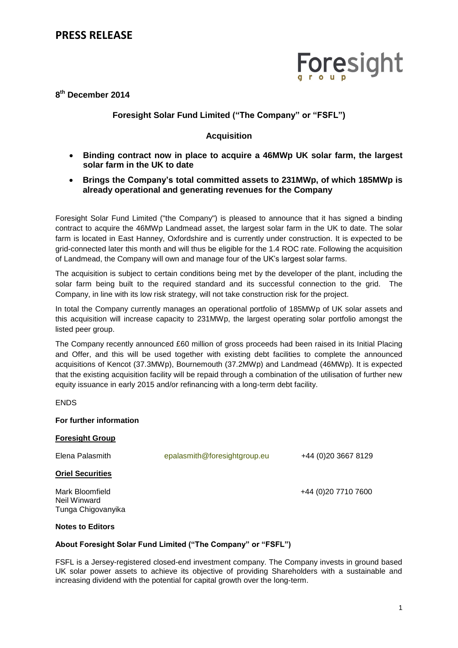# Foresight

## **8 th December 2014**

## **Foresight Solar Fund Limited ("The Company" or "FSFL")**

### **Acquisition**

- **Binding contract now in place to acquire a 46MWp UK solar farm, the largest solar farm in the UK to date**
- **Brings the Company's total committed assets to 231MWp, of which 185MWp is already operational and generating revenues for the Company**

Foresight Solar Fund Limited ("the Company") is pleased to announce that it has signed a binding contract to acquire the 46MWp Landmead asset, the largest solar farm in the UK to date. The solar farm is located in East Hanney, Oxfordshire and is currently under construction. It is expected to be grid-connected later this month and will thus be eligible for the 1.4 ROC rate. Following the acquisition of Landmead, the Company will own and manage four of the UK's largest solar farms.

The acquisition is subject to certain conditions being met by the developer of the plant, including the solar farm being built to the required standard and its successful connection to the grid. The Company, in line with its low risk strategy, will not take construction risk for the project.

In total the Company currently manages an operational portfolio of 185MWp of UK solar assets and this acquisition will increase capacity to 231MWp, the largest operating solar portfolio amongst the listed peer group.

The Company recently announced £60 million of gross proceeds had been raised in its Initial Placing and Offer, and this will be used together with existing debt facilities to complete the announced acquisitions of Kencot (37.3MWp), Bournemouth (37.2MWp) and Landmead (46MWp). It is expected that the existing acquisition facility will be repaid through a combination of the utilisation of further new equity issuance in early 2015 and/or refinancing with a long-term debt facility.

**FNDS** 

#### **For further information**

| <b>Foresight Group</b>          |                              |                      |
|---------------------------------|------------------------------|----------------------|
| Elena Palasmith                 | epalasmith@foresightgroup.eu | +44 (0) 20 3667 8129 |
| <b>Oriel Securities</b>         |                              |                      |
| Mark Bloomfield<br>Neil Winward |                              | +44 (0) 20 7710 7600 |

#### **Notes to Editors**

Tunga Chigovanyika

#### **About Foresight Solar Fund Limited ("The Company" or "FSFL")**

FSFL is a Jersey-registered closed-end investment company. The Company invests in ground based UK solar power assets to achieve its objective of providing Shareholders with a sustainable and increasing dividend with the potential for capital growth over the long-term.